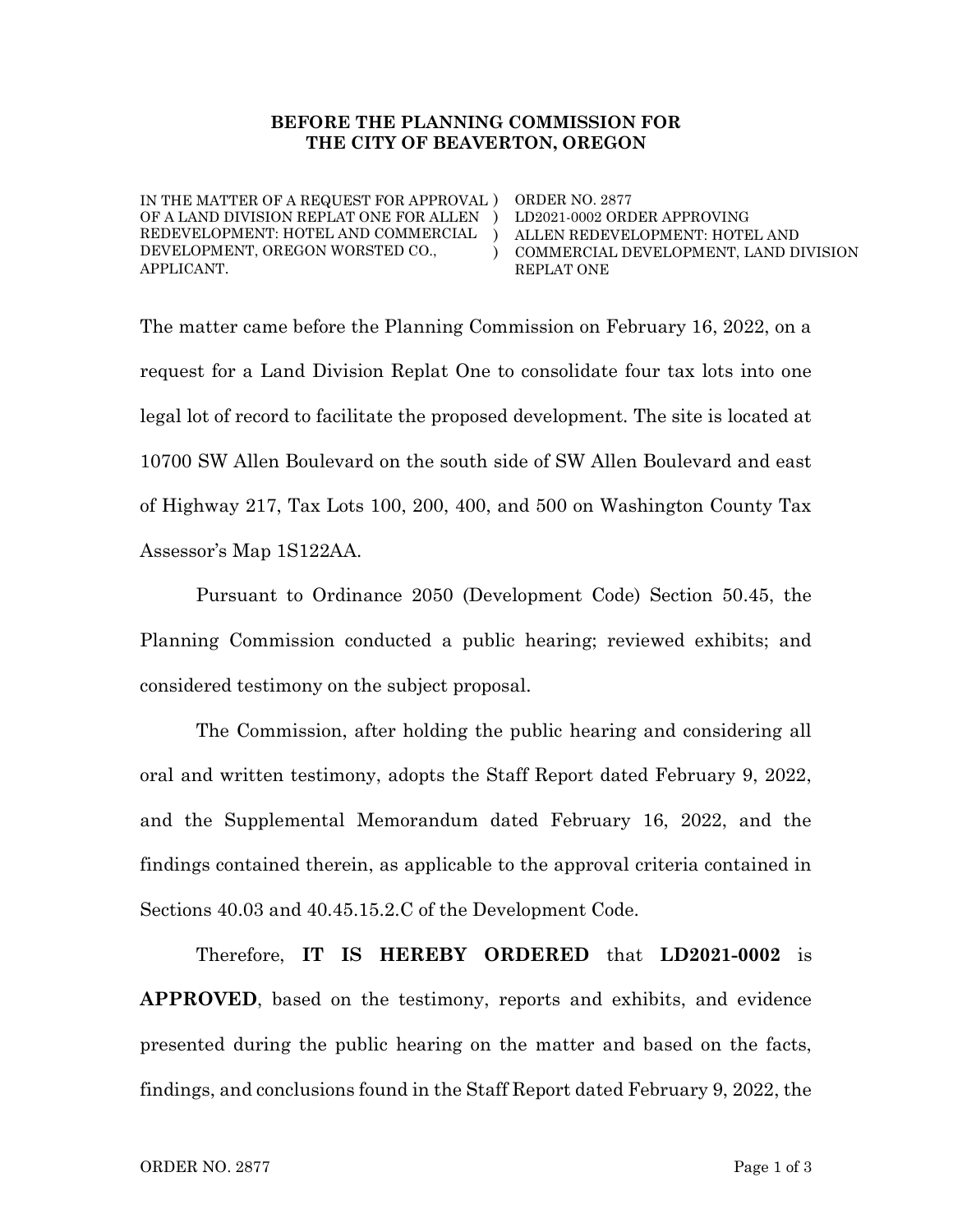#### BEFORE THE PLANNING COMMISSION FOR THE CITY OF BEAVERTON, OREGON

IN THE MATTER OF A REQUEST FOR APPROVAL ) ORDER NO. 2877 OF A LAND DIVISION REPLAT ONE FOR ALLEN ) LD2021-0002 ORDER APPROVING REDEVELOPMENT: HOTEL AND COMMERCIAL ) DEVELOPMENT, OREGON WORSTED CO., APPLICANT.

 $\lambda$ ALLEN REDEVELOPMENT: HOTEL AND COMMERCIAL DEVELOPMENT, LAND DIVISION REPLAT ONE

The matter came before the Planning Commission on February 16, 2022, on a request for a Land Division Replat One to consolidate four tax lots into one legal lot of record to facilitate the proposed development. The site is located at 10700 SW Allen Boulevard on the south side of SW Allen Boulevard and east of Highway 217, Tax Lots 100, 200, 400, and 500 on Washington County Tax Assessor's Map 1S122AA.

Pursuant to Ordinance 2050 (Development Code) Section 50.45, the Planning Commission conducted a public hearing; reviewed exhibits; and considered testimony on the subject proposal.

The Commission, after holding the public hearing and considering all oral and written testimony, adopts the Staff Report dated February 9, 2022, and the Supplemental Memorandum dated February 16, 2022, and the findings contained therein, as applicable to the approval criteria contained in Sections 40.03 and 40.45.15.2.C of the Development Code.

Therefore, IT IS HEREBY ORDERED that LD2021-0002 is APPROVED, based on the testimony, reports and exhibits, and evidence presented during the public hearing on the matter and based on the facts, findings, and conclusions found in the Staff Report dated February 9, 2022, the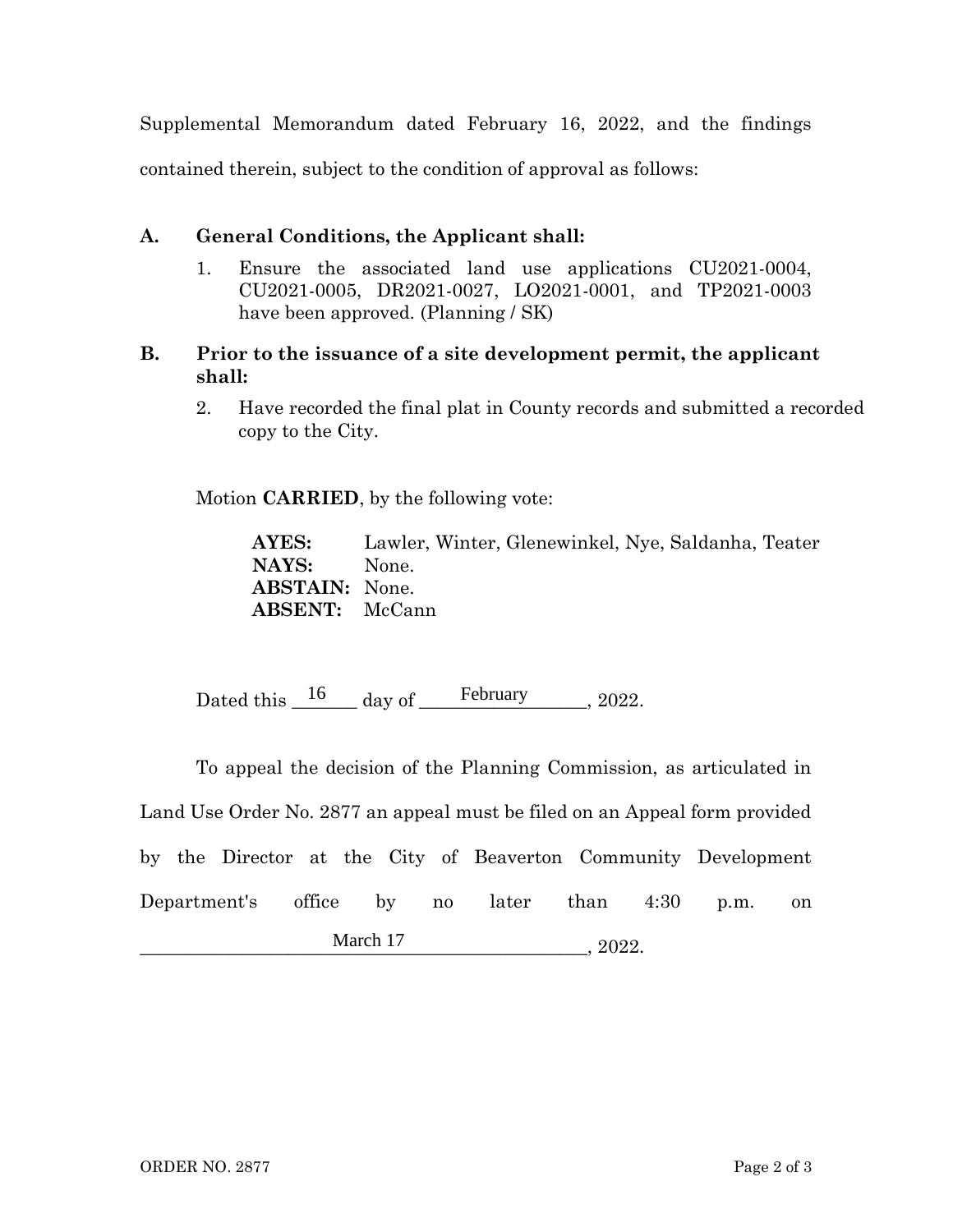Supplemental Memorandum dated February 16, 2022, and the findings contained therein, subject to the condition of approval as follows:

# A. General Conditions, the Applicant shall:

1. Ensure the associated land use applications CU2021-0004, CU2021-0005, DR2021-0027, LO2021-0001, and TP2021-0003 have been approved. (Planning / SK)

## B. Prior to the issuance of a site development permit, the applicant shall:

2. Have recorded the final plat in County records and submitted a recorded copy to the City.

Motion CARRIED, by the following vote:

AYES: Lawler, Winter, Glenewinkel, Nye, Saldanha, Teater NAYS: None. ABSTAIN: None. ABSENT: McCann

Dated this  $\frac{16}{\text{day of}}$  ef February 2022.

To appeal the decision of the Planning Commission, as articulated in Land Use Order No. 2877 an appeal must be filed on an Appeal form provided by the Director at the City of Beaverton Community Development Department's office by no later than 4:30 p.m. on  $, 2022.$ March 17